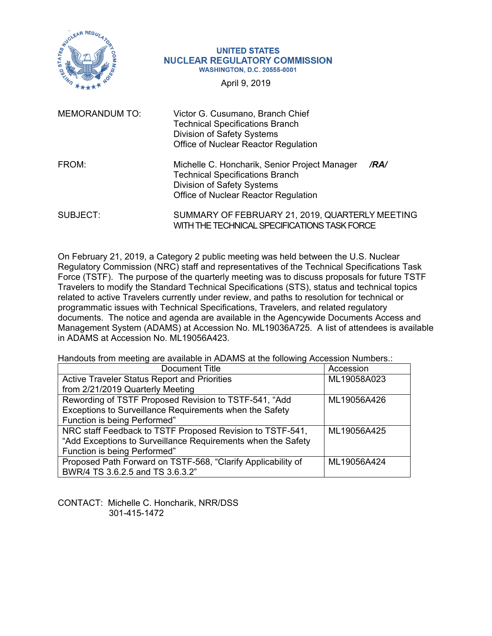

#### **UNITED STATES NUCLEAR REGULATORY COMMISSION WASHINGTON, D.C. 20555-0001**

April 9, 2019

| <b>MEMORANDUM TO:</b> | Victor G. Cusumano, Branch Chief<br><b>Technical Specifications Branch</b><br><b>Division of Safety Systems</b><br>Office of Nuclear Reactor Regulation                      |
|-----------------------|------------------------------------------------------------------------------------------------------------------------------------------------------------------------------|
| FROM:                 | Michelle C. Honcharik, Senior Project Manager<br>/RA/<br><b>Technical Specifications Branch</b><br><b>Division of Safety Systems</b><br>Office of Nuclear Reactor Regulation |
| SUBJECT:              | SUMMARY OF FEBRUARY 21, 2019, QUARTERLY MEETING                                                                                                                              |

On February 21, 2019, a Category 2 public meeting was held between the U.S. Nuclear Regulatory Commission (NRC) staff and representatives of the Technical Specifications Task Force (TSTF). The purpose of the quarterly meeting was to discuss proposals for future TSTF Travelers to modify the Standard Technical Specifications (STS), status and technical topics related to active Travelers currently under review, and paths to resolution for technical or programmatic issues with Technical Specifications, Travelers, and related regulatory documents. The notice and agenda are available in the Agencywide Documents Access and Management System (ADAMS) at Accession No. ML19036A725. A list of attendees is available in ADAMS at Accession No. ML19056A423.

WITH THE TECHNICAL SPECIFICATIONS TASK FORCE

Handouts from meeting are available in ADAMS at the following Accession Numbers.:

| Document Title                                               | Accession   |
|--------------------------------------------------------------|-------------|
| <b>Active Traveler Status Report and Priorities</b>          | ML19058A023 |
| from 2/21/2019 Quarterly Meeting                             |             |
| Rewording of TSTF Proposed Revision to TSTF-541, "Add        | ML19056A426 |
| Exceptions to Surveillance Requirements when the Safety      |             |
| Function is being Performed"                                 |             |
| NRC staff Feedback to TSTF Proposed Revision to TSTF-541,    | ML19056A425 |
| "Add Exceptions to Surveillance Requirements when the Safety |             |
| Function is being Performed"                                 |             |
| Proposed Path Forward on TSTF-568, "Clarify Applicability of | ML19056A424 |
| BWR/4 TS 3.6.2.5 and TS 3.6.3.2"                             |             |

CONTACT: Michelle C. Honcharik, NRR/DSS 301-415-1472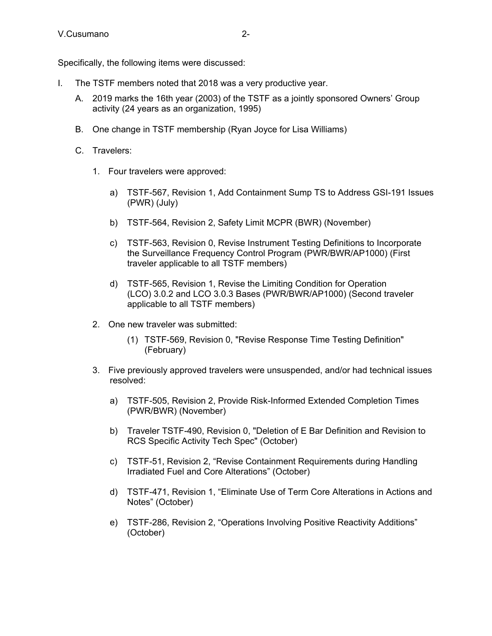Specifically, the following items were discussed:

- I. The TSTF members noted that 2018 was a very productive year.
	- A. 2019 marks the 16th year (2003) of the TSTF as a jointly sponsored Owners' Group activity (24 years as an organization, 1995)
	- B. One change in TSTF membership (Ryan Joyce for Lisa Williams)
	- C. Travelers:
		- 1. Four travelers were approved:
			- a) TSTF-567, Revision 1, Add Containment Sump TS to Address GSI-191 Issues (PWR) (July)
			- b) TSTF-564, Revision 2, Safety Limit MCPR (BWR) (November)
			- c) TSTF-563, Revision 0, Revise Instrument Testing Definitions to Incorporate the Surveillance Frequency Control Program (PWR/BWR/AP1000) (First traveler applicable to all TSTF members)
			- d) TSTF-565, Revision 1, Revise the Limiting Condition for Operation (LCO) 3.0.2 and LCO 3.0.3 Bases (PWR/BWR/AP1000) (Second traveler applicable to all TSTF members)
		- 2. One new traveler was submitted:
			- (1) TSTF-569, Revision 0, "Revise Response Time Testing Definition" (February)
		- 3. Five previously approved travelers were unsuspended, and/or had technical issues resolved:
			- a) TSTF-505, Revision 2, Provide Risk-Informed Extended Completion Times (PWR/BWR) (November)
			- b) Traveler TSTF-490, Revision 0, "Deletion of E Bar Definition and Revision to RCS Specific Activity Tech Spec" (October)
			- c) TSTF-51, Revision 2, "Revise Containment Requirements during Handling Irradiated Fuel and Core Alterations" (October)
			- d) TSTF-471, Revision 1, "Eliminate Use of Term Core Alterations in Actions and Notes" (October)
			- e) TSTF-286, Revision 2, "Operations Involving Positive Reactivity Additions" (October)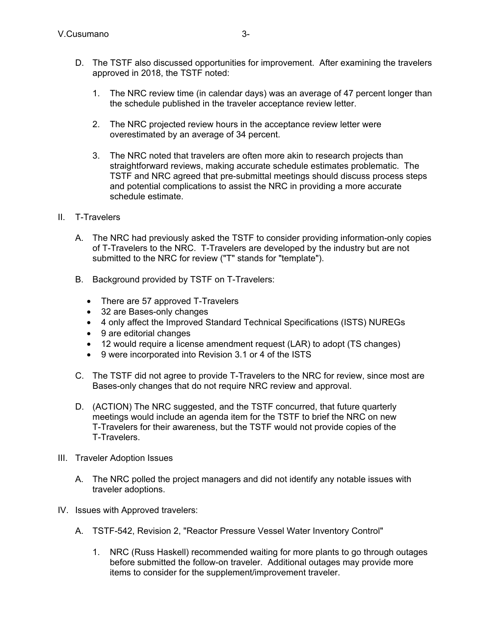- D. The TSTF also discussed opportunities for improvement. After examining the travelers approved in 2018, the TSTF noted:
	- 1. The NRC review time (in calendar days) was an average of 47 percent longer than the schedule published in the traveler acceptance review letter.
	- 2. The NRC projected review hours in the acceptance review letter were overestimated by an average of 34 percent.
	- 3. The NRC noted that travelers are often more akin to research projects than straightforward reviews, making accurate schedule estimates problematic. The TSTF and NRC agreed that pre-submittal meetings should discuss process steps and potential complications to assist the NRC in providing a more accurate schedule estimate.
- II. T-Travelers
	- A. The NRC had previously asked the TSTF to consider providing information-only copies of T-Travelers to the NRC. T-Travelers are developed by the industry but are not submitted to the NRC for review ("T" stands for "template").
	- B. Background provided by TSTF on T-Travelers:
		- There are 57 approved T-Travelers
		- 32 are Bases-only changes
		- 4 only affect the Improved Standard Technical Specifications (ISTS) NUREGs
		- 9 are editorial changes
		- 12 would require a license amendment request (LAR) to adopt (TS changes)
		- 9 were incorporated into Revision 3.1 or 4 of the ISTS
	- C. The TSTF did not agree to provide T-Travelers to the NRC for review, since most are Bases-only changes that do not require NRC review and approval.
	- D. (ACTION) The NRC suggested, and the TSTF concurred, that future quarterly meetings would include an agenda item for the TSTF to brief the NRC on new T-Travelers for their awareness, but the TSTF would not provide copies of the T-Travelers.
- III. Traveler Adoption Issues
	- A. The NRC polled the project managers and did not identify any notable issues with traveler adoptions.
- IV. Issues with Approved travelers:
	- A. TSTF-542, Revision 2, "Reactor Pressure Vessel Water Inventory Control"
		- 1. NRC (Russ Haskell) recommended waiting for more plants to go through outages before submitted the follow-on traveler. Additional outages may provide more items to consider for the supplement/improvement traveler.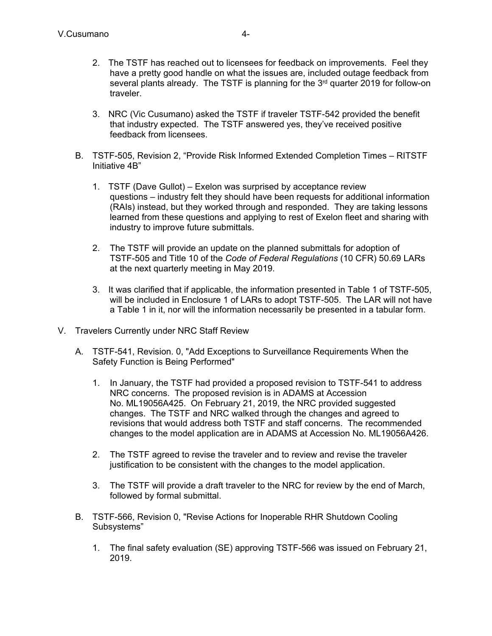- 2. The TSTF has reached out to licensees for feedback on improvements. Feel they have a pretty good handle on what the issues are, included outage feedback from several plants already. The TSTF is planning for the  $3<sup>rd</sup>$  quarter 2019 for follow-on traveler.
- 3. NRC (Vic Cusumano) asked the TSTF if traveler TSTF-542 provided the benefit that industry expected. The TSTF answered yes, they've received positive feedback from licensees.
- B. TSTF-505, Revision 2, "Provide Risk Informed Extended Completion Times RITSTF Initiative 4B"
	- 1. TSTF (Dave Gullot) Exelon was surprised by acceptance review questions – industry felt they should have been requests for additional information (RAIs) instead, but they worked through and responded. They are taking lessons learned from these questions and applying to rest of Exelon fleet and sharing with industry to improve future submittals.
	- 2. The TSTF will provide an update on the planned submittals for adoption of TSTF-505 and Title 10 of the *Code of Federal Regulations* (10 CFR) 50.69 LARs at the next quarterly meeting in May 2019.
	- 3. It was clarified that if applicable, the information presented in Table 1 of TSTF-505, will be included in Enclosure 1 of LARs to adopt TSTF-505. The LAR will not have a Table 1 in it, nor will the information necessarily be presented in a tabular form.
- V. Travelers Currently under NRC Staff Review
	- A. TSTF-541, Revision. 0, "Add Exceptions to Surveillance Requirements When the Safety Function is Being Performed"
		- 1. In January, the TSTF had provided a proposed revision to TSTF-541 to address NRC concerns. The proposed revision is in ADAMS at Accession No. ML19056A425. On February 21, 2019, the NRC provided suggested changes. The TSTF and NRC walked through the changes and agreed to revisions that would address both TSTF and staff concerns. The recommended changes to the model application are in ADAMS at Accession No. ML19056A426.
		- 2. The TSTF agreed to revise the traveler and to review and revise the traveler justification to be consistent with the changes to the model application.
		- 3. The TSTF will provide a draft traveler to the NRC for review by the end of March, followed by formal submittal.
	- B. TSTF-566, Revision 0, "Revise Actions for Inoperable RHR Shutdown Cooling Subsystems"
		- 1. The final safety evaluation (SE) approving TSTF-566 was issued on February 21, 2019.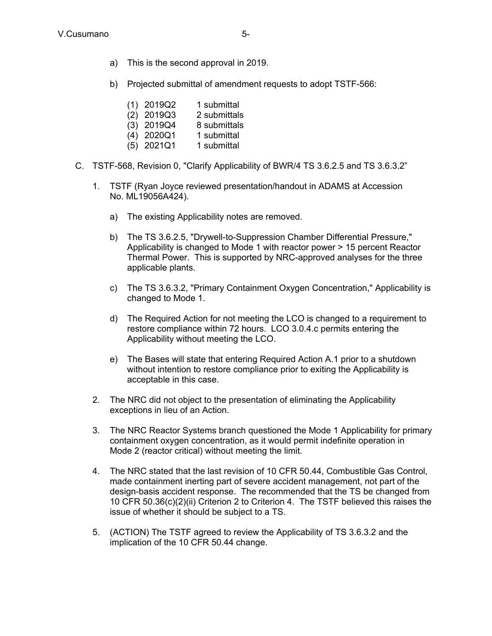- a) This is the second approval in 2019.
- b) Projected submittal of amendment requests to adopt TSTF-566:
	- (1) 2019Q2 1 submittal
	- (2) 2019Q3 2 submittals
	- (3) 2019Q4 8 submittals
	- (4) 2020Q1 1 submittal
	- (5) 2021Q1 1 submittal
- C. TSTF-568, Revision 0, "Clarify Applicability of BWR/4 TS 3.6.2.5 and TS 3.6.3.2"
	- 1. TSTF (Ryan Joyce reviewed presentation/handout in ADAMS at Accession No. ML19056A424).
		- a) The existing Applicability notes are removed.
		- b) The TS 3.6.2.5, "Drywell-to-Suppression Chamber Differential Pressure," Applicability is changed to Mode 1 with reactor power > 15 percent Reactor Thermal Power. This is supported by NRC-approved analyses for the three applicable plants.
		- c) The TS 3.6.3.2, "Primary Containment Oxygen Concentration," Applicability is changed to Mode 1.
		- d) The Required Action for not meeting the LCO is changed to a requirement to restore compliance within 72 hours. LCO 3.0.4.c permits entering the Applicability without meeting the LCO.
		- e) The Bases will state that entering Required Action A.1 prior to a shutdown without intention to restore compliance prior to exiting the Applicability is acceptable in this case.
	- 2. The NRC did not object to the presentation of eliminating the Applicability exceptions in lieu of an Action.
	- 3. The NRC Reactor Systems branch questioned the Mode 1 Applicability for primary containment oxygen concentration, as it would permit indefinite operation in Mode 2 (reactor critical) without meeting the limit.
	- 4. The NRC stated that the last revision of 10 CFR 50.44, Combustible Gas Control, made containment inerting part of severe accident management, not part of the design-basis accident response. The recommended that the TS be changed from 10 CFR 50.36(c)(2)(ii) Criterion 2 to Criterion 4. The TSTF believed this raises the issue of whether it should be subject to a TS.
	- 5. (ACTION) The TSTF agreed to review the Applicability of TS 3.6.3.2 and the implication of the 10 CFR 50.44 change.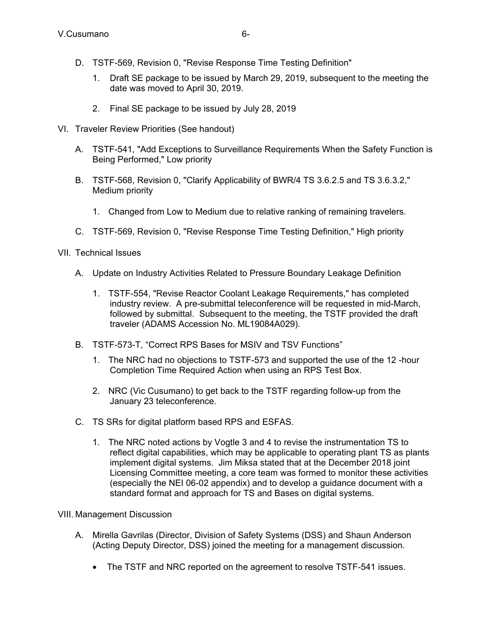- D. TSTF-569, Revision 0, "Revise Response Time Testing Definition"
	- 1. Draft SE package to be issued by March 29, 2019, subsequent to the meeting the date was moved to April 30, 2019.
	- 2. Final SE package to be issued by July 28, 2019
- VI. Traveler Review Priorities (See handout)
	- A. TSTF-541, "Add Exceptions to Surveillance Requirements When the Safety Function is Being Performed," Low priority
	- B. TSTF-568, Revision 0, "Clarify Applicability of BWR/4 TS 3.6.2.5 and TS 3.6.3.2," Medium priority
		- 1. Changed from Low to Medium due to relative ranking of remaining travelers.
	- C. TSTF-569, Revision 0, "Revise Response Time Testing Definition," High priority
- VII. Technical Issues
	- A. Update on Industry Activities Related to Pressure Boundary Leakage Definition
		- 1. TSTF-554, "Revise Reactor Coolant Leakage Requirements," has completed industry review. A pre-submittal teleconference will be requested in mid-March, followed by submittal. Subsequent to the meeting, the TSTF provided the draft traveler (ADAMS Accession No. ML19084A029).
	- B. TSTF-573-T, "Correct RPS Bases for MSIV and TSV Functions"
		- 1. The NRC had no objections to TSTF-573 and supported the use of the 12 -hour Completion Time Required Action when using an RPS Test Box.
		- 2. NRC (Vic Cusumano) to get back to the TSTF regarding follow-up from the January 23 teleconference.
	- C. TS SRs for digital platform based RPS and ESFAS.
		- 1. The NRC noted actions by Vogtle 3 and 4 to revise the instrumentation TS to reflect digital capabilities, which may be applicable to operating plant TS as plants implement digital systems. Jim Miksa stated that at the December 2018 joint Licensing Committee meeting, a core team was formed to monitor these activities (especially the NEI 06-02 appendix) and to develop a guidance document with a standard format and approach for TS and Bases on digital systems.

## VIII. Management Discussion

- A. Mirella Gavrilas (Director, Division of Safety Systems (DSS) and Shaun Anderson (Acting Deputy Director, DSS) joined the meeting for a management discussion.
	- The TSTF and NRC reported on the agreement to resolve TSTF-541 issues.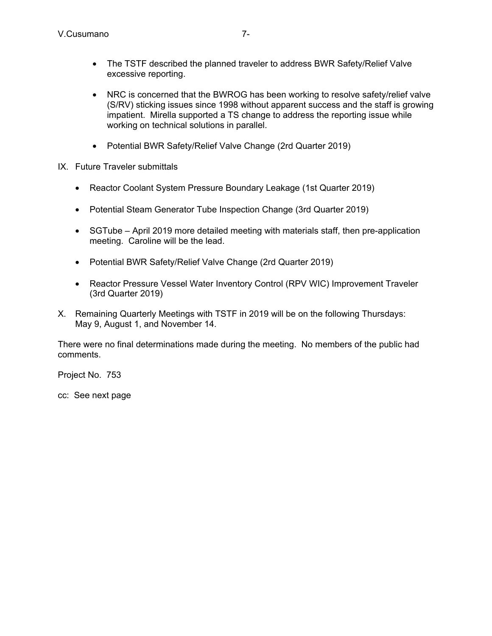- The TSTF described the planned traveler to address BWR Safety/Relief Valve excessive reporting.
- NRC is concerned that the BWROG has been working to resolve safety/relief valve (S/RV) sticking issues since 1998 without apparent success and the staff is growing impatient. Mirella supported a TS change to address the reporting issue while working on technical solutions in parallel.
- Potential BWR Safety/Relief Valve Change (2rd Quarter 2019)
- IX. Future Traveler submittals
	- Reactor Coolant System Pressure Boundary Leakage (1st Quarter 2019)
	- Potential Steam Generator Tube Inspection Change (3rd Quarter 2019)
	- SGTube April 2019 more detailed meeting with materials staff, then pre-application meeting. Caroline will be the lead.
	- Potential BWR Safety/Relief Valve Change (2rd Quarter 2019)
	- Reactor Pressure Vessel Water Inventory Control (RPV WIC) Improvement Traveler (3rd Quarter 2019)
- X. Remaining Quarterly Meetings with TSTF in 2019 will be on the following Thursdays: May 9, August 1, and November 14.

There were no final determinations made during the meeting. No members of the public had comments.

Project No. 753

cc: See next page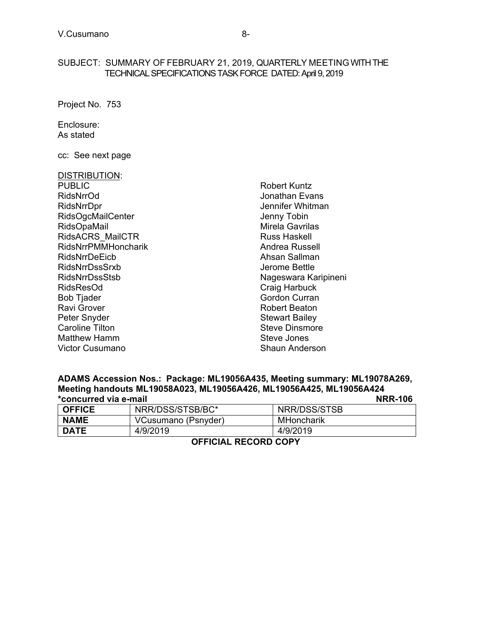### SUBJECT: SUMMARY OF FEBRUARY 21, 2019, QUARTERLY MEETING WITH THE TECHNICAL SPECIFICATIONS TASK FORCE DATED: April 9, 2019

Project No. 753

Enclosure: As stated

cc: See next page

#### DISTRIBUTION:

PUBLIC RidsNrrOd RidsNrrDpr RidsOgcMailCenter RidsOpaMail RidsACRS\_MailCTR RidsNrrPMMHoncharik RidsNrrDeEicb RidsNrrDssSrxb RidsNrrDssStsb RidsResOd Bob Tjader Ravi Grover Peter Snyder Caroline Tilton Matthew Hamm Victor Cusumano

Robert Kuntz Jonathan Evans Jennifer Whitman Jenny Tobin Mirela Gavrilas Russ Haskell Andrea Russell Ahsan Sallman Jerome Bettle Nageswara Karipineni Craig Harbuck Gordon Curran Robert Beaton Stewart Bailey Steve Dinsmore Steve Jones Shaun Anderson

# **ADAMS Accession Nos.: Package: ML19056A435, Meeting summary: ML19078A269, Meeting handouts ML19058A023, ML19056A426, ML19056A425, ML19056A424 \*concurred via e-mail NRR-106**

| <b>OFFICE</b> | NRR/DSS/STSB/BC*    | NRR/DSS/STSB |
|---------------|---------------------|--------------|
| <b>NAME</b>   | VCusumano (Psnyder) | MHoncharik   |
| <b>DATE</b>   | 4/9/2019            | 4/9/2019     |

**OFFICIAL RECORD COPY**